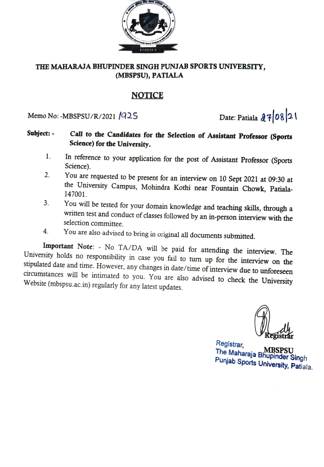

#### THE MAHARAJA BHUPINDER SINGH PUNJAB SPORTS UNIVERSITY, (MBSPSU), PATIALA

### NOTICE

Memo No: -MBSPSU/R/2021 /925 Date: Patiala  $27/08$  21

#### Call to the Candidates for the Selection of Assistant Professor (Sports Science) for the University. Subject:

- In reference to your application for the post of Assistant Professor (Sports Science). 1.
- You are requested to be present for an interview on 10 Sept 2021 at 09:30 at the University Campus, Mohindra Kothi near Fountain Chowk, Patiala-2.
- 147001.<br>You will be tested for your domain knowledge and teaching skills, through a written test and conduct of classes followed by an in-person interview with the 3. selection committee.
- 

4. You are also advised to bring in original all documents submitted.<br>Important Note: - No TA/DA will be paid for attending the interview. The University holds no responsibility in case you fail to turn up for the interview on the stipulated date and time. However, any changes in date/time of interview due to unforeseen circumstances will be intimated to you. You circumstances will be intimated to you. You are also advised to check the University

Registrar, Registrar, The Maharaja Bhupinder Singh Punjab Sports University, Patiala. MBSPSU